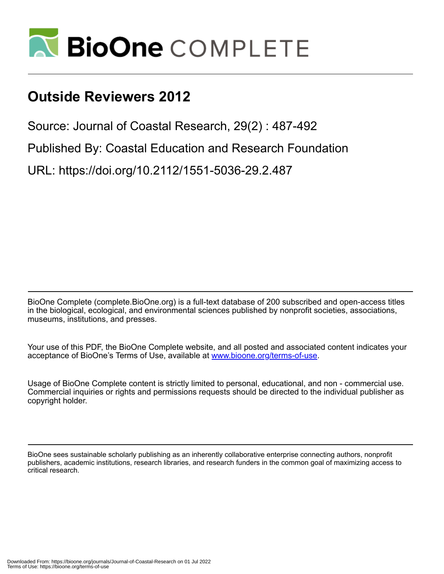

## **Outside Reviewers 2012**

Source: Journal of Coastal Research, 29(2) : 487-492

Published By: Coastal Education and Research Foundation

URL: https://doi.org/10.2112/1551-5036-29.2.487

BioOne Complete (complete.BioOne.org) is a full-text database of 200 subscribed and open-access titles in the biological, ecological, and environmental sciences published by nonprofit societies, associations, museums, institutions, and presses.

Your use of this PDF, the BioOne Complete website, and all posted and associated content indicates your acceptance of BioOne's Terms of Use, available at www.bioone.org/terms-of-use.

Usage of BioOne Complete content is strictly limited to personal, educational, and non - commercial use. Commercial inquiries or rights and permissions requests should be directed to the individual publisher as copyright holder.

BioOne sees sustainable scholarly publishing as an inherently collaborative enterprise connecting authors, nonprofit publishers, academic institutions, research libraries, and research funders in the common goal of maximizing access to critical research.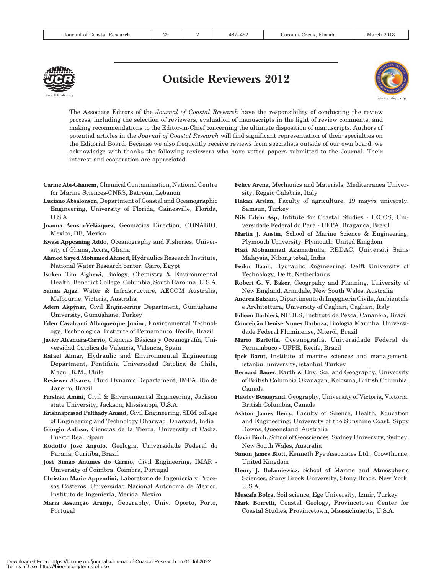

## Outside Reviewers 2012



The Associate Editors of the Journal of Coastal Research have the responsibility of conducting the review process, including the selection of reviewers, evaluation of manuscripts in the light of review comments, and making recommendations to the Editor-in-Chief concerning the ultimate disposition of manuscripts. Authors of potential articles in the Journal of Coastal Research will find significant representation of their specialties on the Editorial Board. Because we also frequently receive reviews from specialists outside of our own board, we acknowledge with thanks the following reviewers who have vetted papers submitted to the Journal. Their interest and cooperation are appreciated.

- Carine Abi-Ghanem, Chemical Contamination, National Centre for Marine Sciences-CNRS, Batroun, Lebanon
- Luciano Absalonsen, Department of Coastal and Oceanographic Engineering, University of Florida, Gainesville, Florida, U.S.A.
- Joanna Acosta-Velázquez, Geomatics Direction, CONABIO, Mexico, DF, Mexico
- Kwasi Appeaning Addo, Oceanography and Fisheries, University of Ghana, Accra, Ghana
- Ahmed Sayed Mohamed Ahmed, Hydraulics Research Institute, National Water Research center, Cairo, Egypt
- Isoken Tito Aighewi, Biology, Chemistry & Environmental Health, Benedict College, Columbia, South Carolina, U.S.A.
- Saima Aijaz, Water & Infrastructure, AECOM Australia, Melbourne, Victoria, Australia
- Adem Akpýnar, Civil Engineering Department, Gümüşhane University, Gümüşhane, Turkey
- Eden Cavalcanti Albuquerque Junior, Environmental Technology, Technological Institute of Pernambuco, Recife, Brazil
- Javier Alcantara-Carrio, Ciencias Básicas y Oceanografía, Universidad Catolica de Valencia, Valencia, Spain
- Rafael Almar, Hydraulic and Environmental Engineering Department, Pontificia Universidad Catolica de Chile, Macul, R.M., Chile
- Reviewer Alvarez, Fluid Dynamic Departament, IMPA, Rio de Janeiro, Brazil
- Farshad Amini, Civil & Environmental Engineering, Jackson state University, Jackson, Mississippi, U.S.A.
- Krishnaprasad Palthady Anand, Civil Engineering, SDM college of Engineering and Technology Dharwad, Dharwad, India
- Giorgio Anfuso, Ciencias de la Tierra, University of Cadiz, Puerto Real, Spain
- Rodolfo Jose´ Angulo, Geologia, Universidade Federal do Paraná, Curitiba, Brazil
- José Simão Antunes do Carmo, Civil Engineering, IMAR -University of Coimbra, Coimbra, Portugal
- Christian Mario Appendini, Laboratorio de Ingeniería y Procesos Costeros, Universidad Nacional Autonoma de México, Instituto de Ingeniería, Merida, Mexico
- Maria Assunção Araújo, Geography, Univ. Oporto, Porto, Portugal
- Felice Arena, Mechanics and Materials, Mediterranea University, Reggio Calabria, Italy
- Hakan Arslan, Faculty of agriculture, 19 may is universty, Samsun, Turkey
- Nils Edvin Asp, Intitute for Coastal Studies IECOS, Universidade Federal do Pará - UFPA, Bragança, Brazil
- Martin J. Austin, School of Marine Science & Engineering, Plymouth University, Plymouth, United Kingdom
- Hazi Mohammad Azamathulla, REDAC, Universiti Sains Malaysia, Nibong tebal, India
- Fedor Baart, Hydraulic Engineering, Delft University of Technology, Delft, Netherlands
- Robert G. V. Baker, Geogrpahy and Planning, University of New England, Armidale, New South Wales, Australia
- Andrea Balzano, Dipartimento di Ingegneria Civile, Ambientale e Architettura, University of Cagliari, Cagliari, Italy
- Edison Barbieri, NPDLS, Instituto de Pesca, Cananéia, Brazil
- Conceição Denise Nunes Barboza, Biologia Marinha, Universidade Federal Fluminense, Niterói, Brazil
- Mario Barletta, Oceanografia, Universidade Federal de Pernambuco - UFPE, Recife, Brazil
- Ipek Barut, Institute of marine sciences and management, istanbul university, istanbul, Turkey
- Bernard Bauer, Earth & Env. Sci. and Geography, University of British Columbia Okanagan, Kelowna, British Columbia, Canada
- Hawley Beaugrand, Geography, University of Victoria, Victoria, British Columbia, Canada
- Ashton James Berry, Faculty of Science, Health, Education and Engineering, University of the Sunshine Coast, Sippy Downs, Queensland, Australia
- Gavin Birch, School of Geosciences, Sydney University, Sydney, New South Wales, Australia
- Simon James Blott, Kenneth Pye Associates Ltd., Crowthorne, United Kingdom
- Henry J. Bokuniewicz, School of Marine and Atmospheric Sciences, Stony Brook University, Stony Brook, New York, U.S.A.
- Mustafa Bolca, Soil science, Ege University, Izmir, Turkey
- Mark Borrelli, Coastal Geology, Provincetown Center for Coastal Studies, Provincetown, Massachusetts, U.S.A.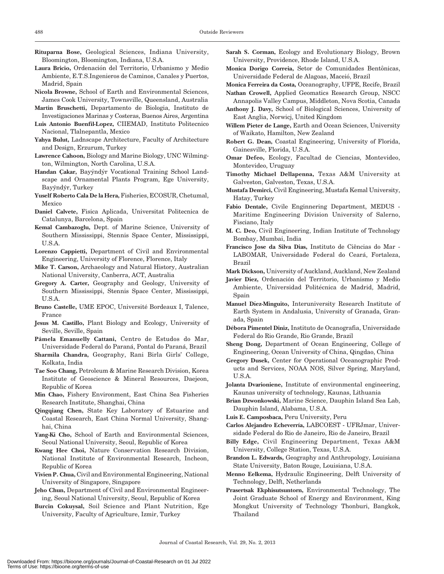- Rituparna Bose, Geological Sciences, Indiana University, Bloomington, Bloomington, Indiana, U.S.A.
- Laura Bricio, Ordenación del Territorio, Urbanismo y Medio Ambiente, E.T.S.Ingenieros de Caminos, Canales y Puertos, Madrid, Spain
- Nicola Browne, School of Earth and Environmental Sciences, James Cook University, Townsville, Queensland, Australia
- Martin Bruschetti, Departamento de Biologia, Instituto de Investigaciones Marinas y Costeras, Buenos Aires, Argentina
- Luis Antonio Buenfil-Lopez, CIIEMAD, Instituto Politecnico Nacional, Tlalnepantla, Mexico
- Yahya Bulut, Ladnscape Architecture, Faculty of Architecture and Design, Erzurum, Turkey
- Lawrence Cahoon, Biology and Marine Biology, UNC Wilmington, Wilmington, North Carolina, U.S.A.
- Handan Çakar, Bayýndýr Vocational Training School Landscape and Ornamental Plants Program, Ege University, Bayýndýr, Turkey
- Yuself Roberto Cala De la Hera, Fisheries, ECOSUR, Chetumal, Mexico
- Daniel Calvete, Fisica Aplicada, Universitat Politecnica de Catalunya, Barcelona, Spain
- Kemal Cambazoglu, Dept. of Marine Science, University of Southern Mississippi, Stennis Space Center, Mississippi, U.S.A.
- Lorenzo Cappietti, Department of Civil and Environmental Engineering, University of Florence, Florence, Italy
- Mike T. Carson, Archaeology and Natural History, Australian National University, Canberra, ACT, Australia
- Gregory A. Carter, Geography and Geology, University of Southern Mississippi, Stennis Space Center, Mississippi, U.S.A.
- Bruno Castelle, UME EPOC, Université Bordeaux I, Talence, France
- Jesus M. Castillo, Plant Biology and Ecology, University of Seville, Seville, Spain
- Pâmela Emanuelly Cattani, Centro de Estudos do Mar, Universidade Federal do Paraná, Pontal do Paraná, Brazil
- Sharmila Chandra, Geography, Rani Birla Girls' College, Kolkata, India
- Tae Soo Chang, Petroleum & Marine Research Division, Korea Institute of Geoscience & Mineral Resources, Daejeon, Republic of Korea
- Min Chao, Fishery Environment, East China Sea Fisheries Research Institute, Shanghai, China
- Qingqiang Chen, State Key Laboratory of Estuarine and Coastal Research, East China Normal University, Shanghai, China
- Yang-Ki Cho, School of Earth and Environmental Sciences, Seoul National University, Seoul, Republic of Korea
- Kwang Hee Choi, Nature Conservation Research Division, National Institute of Environmental Research, Incheon, Republic of Korea
- Vivien P. Chua, Civil and Environmental Engineering, National University of Singapore, Singapore
- Jeho Chun, Department of Civil and Environmental Engineering, Seoul National University, Seoul, Republic of Korea
- Burcin Cokuysal, Soil Science and Plant Nutrition, Ege University, Faculty of Agriculture, Izmir, Turkey
- Sarah S. Corman, Ecology and Evolutionary Biology, Brown University, Providence, Rhode Island, U.S.A.
- Monica Dorigo Correia, Setor de Comunidades Bentônicas, Universidade Federal de Alagoas, Maceió, Brazil
- Monica Ferreira da Costa, Oceanography, UFPE, Recife, Brazil
- Nathan Crowell, Applied Geomatics Research Group, NSCC Annapolis Valley Campus, Middleton, Nova Scotia, Canada
- Anthony J. Davy, School of Biological Sciences, University of East Anglia, Norwicj, United Kingdom
- Willem Pieter de Lange, Earth and Ocean Sciences, University of Waikato, Hamilton, New Zealand
- Robert G. Dean, Coastal Engineering, University of Florida, Gainesville, Florida, U.S.A.
- Omar Defeo, Ecology, Facultad de Ciencias, Montevideo, Montevideo, Uruguay
- Timothy Michael Dellapenna, Texas A&M University at Galveston, Galveston, Texas, U.S.A.
- Mustafa Demirci, Civil Engineering, Mustafa Kemal University, Hatay, Turkey
- Fabio Dentale, Civile Enginnering Department, MEDUS Maritime Engineering Division University of Salerno, Fisciano, Italy
- M. C. Deo, Civil Engineering, Indian Institute of Technology Bombay, Mumbai, India
- Francisco Jose da Silva Dias, Instituto de Ciências do Mar -LABOMAR, Universidade Federal do Ceará, Fortaleza, Brazil
- Mark Dickson, University of Auckland, Auckland, New Zealand
- Javier Diez, Ordenación del Territorio, Urbanismo y Medio Ambiente, Universidad Politécnica de Madrid, Madrid, Spain
- Manuel Diez-Minguito, Interuniversity Research Institute of Earth System in Andalusia, University of Granada, Granada, Spain
- Débora Pimentel Diniz, Instituto de Ocanografia, Universidade Federal do Rio Grande, Rio Grande, Brazil
- Sheng Dong, Department of Ocean Engineering, College of Engineering, Ocean University of China, Qingdao, China
- Gregory Dusek, Center for Operational Oceanographic Products and Services, NOAA NOS, Silver Spring, Maryland, U.S.A.
- Jolanta Dvarioniene, Institute of environmental engineering, Kaunas university of technology, Kaunas, Lithuania
- Brian Dzwonkowski, Marine Science, Dauphin Island Sea Lab, Dauphin Island, Alabama, U.S.A.
- Luis E. Camposbaca, Peru University, Peru
- Carlos Alejandro Echeverría, LABCOEST UFRJmar, Universidade Federal do Rio de Janeiro, Rio de Janeiro, Brazil
- Billy Edge, Civil Engineering Department, Texas A&M University, College Station, Texas, U.S.A.
- Brandon L. Edwards, Geography and Anthropology, Louisiana State University, Baton Rouge, Louisiana, U.S.A.
- Menno Eelkema, Hydraulic Engineering, Delft University of Technology, Delft, Netherlands
- Prasertsak Ekphisutsuntorn, Environmental Technology, The Joint Graduate School of Energy and Environment, King Mongkut University of Technology Thonburi, Bangkok, Thailand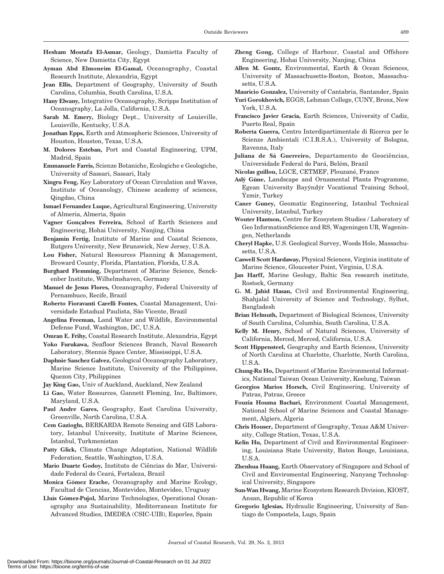- Hesham Mostafa El-Asmar, Geology, Damietta Faculty of Science, New Damietta City, Egypt
- Ayman Abd Elmoneim El-Gamal, Oceanography, Coastal Research Institute, Alexandria, Egypt
- Jean Ellis, Department of Geography, University of South Carolina, Columbia, South Carolina, U.S.A.
- Hany Elwany, Integrative Oceanography, Scripps Institution of Oceanography, La Jolla, California, U.S.A.
- Sarah M. Emery, Biology Dept., University of Louisville, Louisville, Kentucky, U.S.A.
- Jonathan Epps, Earth and Atmospheric Sciences, University of Houston, Houston, Texas, U.S.A.
- M. Dolores Esteban, Port and Coastal Engineering, UPM, Madrid, Spain
- Emmanuele Farris, Scienze Botaniche, Ecologiche e Geologiche, University of Sassari, Sassari, Italy
- Xingru Feng, Key Laboratory of Ocean Circulation and Waves, Institute of Oceanology, Chinese academy of sciences, Qingdao, China
- Ismael Fernandez Luque, Agricultural Engineering, University of Almeria, Almeria, Spain
- Vagner Gonçalves Ferreira, School of Earth Sciences and Engineering, Hohai University, Nanjing, China
- Benjamin Fertig, Institute of Marine and Coastal Sciences, Rutgers University, New Brunswick, New Jersey, U.S.A.
- Lou Fisher, Natural Resources Planning & Management, Broward County, Florida, Plantation, Florida, U.S.A.
- Burghard Flemming, Department of Marine Science, Senckenber Institute, Wilhelmshaven, Germany
- Manuel de Jesus Flores, Oceanography, Federal University of Pernambuco, Recife, Brazil
- Roberto Fioravanti Carelli Fontes, Coastal Management, Universidade Estadual Paulista, São Vicente, Brazil
- Angelina Freeman, Land Water and Wildlife, Environmental Defense Fund, Washington, DC, U.S.A.
- Omran E. Frihy, Coastal Research Institute, Alexandria, Egypt
- Yoko Furukawa, Seafloor Sciences Branch, Naval Research Laboratory, Stennis Space Center, Mississippi, U.S.A.
- Daphnie Sanchez Galvez, Geological Oceanography Laboratory, Marine Science Institute, University of the Philippines, Quezon City, Philippines
- Jay King Gao, Univ of Auckland, Auckland, New Zealand
- Li Gao, Water Resources, Gannett Fleming, Inc, Baltimore, Maryland, U.S.A.
- Paul Andre Gares, Geography, East Carolina University, Greenville, North Carolina, U.S.A.
- Cem Gazioglu, BERKARDA Remote Sensing and GIS Laboratory, Istanbul University, Institute of Marine Sciences, Istanbul, Turkmenistan
- Patty Glick, Climate Change Adaptation, National Wildlife Federation, Seattle, Washington, U.S.A.
- Mario Duarte Godoy, Instituto de Ciências do Mar, Universidade Federal do Ceara´, Fortaleza, Brazil
- Monica Gómez Erache, Oceanography and Marine Ecology, Facultad de Ciencias, Montevideo, Montevideo, Uruguay
- Lluís Gómez-Pujol, Marine Technologies, Operational Oceanography ans Sustainability, Mediterranean Institute for Advanced Studies, IMEDEA (CSIC-UIB), Esporles, Spain
- Zheng Gong, College of Harbour, Coastal and Offshore Engineering, Hohai University, Nanjing, China
- Allen M. Gontz, Environmental, Earth & Ocean Sciences, University of Massachusetts-Boston, Boston, Massachusetts, U.S.A.
- Mauricio Gonzalez, University of Cantabria, Santander, Spain
- Yuri Gorokhovich, EGGS, Lehman College, CUNY, Bronx, New York, U.S.A.
- Francisco Javier Gracia, Earth Sciences, University of Cadiz, Puerto Real, Spain
- Roberta Guerra, Centro Interdipartimentale di Ricerca per le Scienze Ambientali (C.I.R.S.A.), University of Bologna, Ravenna, Italy
- Juliana de Sá Guerreiro, Departamento de Geociências, Universidade Federal do Pará, Belém, Brazil
- Nicolas guillou, LGCE, CETMEF, Plouzané, France
- Aslý Güne, Landscape and Ornamental Plants Programme, Egean University Bayýndýr Vocational Training School, Yzmir, Turkey
- Caner Guney, Geomatic Engineering, Istanbul Technical University, Istanbul, Turkey
- Wouter Hantson, Centre for Ecosystem Studies / Laboratory of Geo InformationScience and RS, Wageningen UR, Wageningen, Netherlands
- Cheryl Hapke, U.S. Geological Survey, Woods Hole, Massachusetts, U.S.A.
- Caswell Scott Hardaway, Physical Sciences, Virginia institute of Marine Science, Gloucester Point, Virginia, U.S.A.
- Jan Harff, Marine Geology, Baltic Sea research institute, Rostock, Germany
- G. M. Jahid Hasan, Civil and Environmental Engineering, Shahjalal University of Science and Technology, Sylhet, Bangladesh
- Brian Helmuth, Department of Biological Sciences, University of South Carolina, Columbia, South Carolina, U.S.A.
- Kelly M. Henry, School of Natural Sciences, University of California, Merced, Merced, California, U.S.A.
- Scott Hippensteel, Geography and Earth Sciences, University of North Carolina at Charlotte, Charlotte, North Carolina, U.S.A.
- Chung-Ru Ho, Department of Marine Environmental Informatics, National Taiwan Ocean University, Keelung, Taiwan
- Georgios Marios Horsch, Civil Engineering, University of Patras, Patras, Greece
- Fouzia Houma Bachari, Environment Coastal Management, National School of Marine Sciences and Coastal Management, Algiers, Algeria
- Chris Houser, Department of Geography, Texas A&M University, College Station, Texas, U.S.A.
- Kelin Hu, Department of Civil and Environmental Engineering, Louisiana State University, Baton Rouge, Louisiana, U.S.A.
- Zhenhua Huang, Earth Observatory of Singapore and School of Civil and Enviromental Engineering, Nanyang Technological University, Singapore
- Sun-Wan Hwang, Marine Ecosystem Research Division, KIOST, Ansan, Republic of Korea
- Gregorio Iglesias, Hydraulic Engineering, University of Santiago de Compostela, Lugo, Spain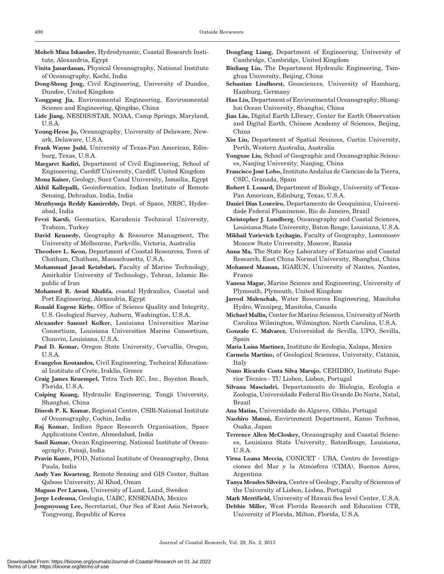- Moheb Mina Iskander, Hydrodynamic, Coastal Research Institute, Alexandria, Egypt
- Vinita Janardanan, Physical Oceanography, National Institute of Oceanography, Kochi, India
- Dong-Sheng Jeng, Civil Engineering, University of Dundee, Dundee, United Kingdom
- Yonggang Jia, Environmental Engineering, Environmental Science and Engineering, Qingdao, China
- Lide Jiang, NESDIS/STAR, NOAA, Camp Springs, Maryland, U.S.A.
- Young-Heon Jo, Oceanography, University of Delaware, Newark, Delaware, U.S.A.
- Frank Wayne Judd, University of Texas-Pan American, Edinburg, Texas, U.S.A.
- Margaret Kadiri, Department of Civil Engineering, School of Engineering, Cardiff University, Cardiff, United Kingdom
- Mona Kaiser, Geology, Suez Canal University, Ismailia, Egypt
- Akhil Kallepalli, Geoinformatics, Indian Institute of Remote Sensing, Dehradun, India, India
- Mruthyunja Reddy Kamireddy, Dept. of Space, NRSC, Hyderabad, India
- Fevzi Karsli, Geomatics, Karadeniz Technical University, Trabzon, Turkey
- David Kennedy, Geography & Resource Managment, The University of Melbourne, Parkville, Victoria, Australia

Theodore L. Keon, Department of Coastal Resources, Town of Chatham, Chatham, Massachusetts, U.S.A.

- Mohammad Javad Ketabdari, Faculty of Marine Technology, Amirkabir University of Technology, Tehran, Islamic Republic of Iran
- Mohamed R. Awad Khalifa, coastal Hydraulics, Coastal and Port Engineering, Alexandria, Egypt
- Ronald Eugene Kirby, Office of Science Quality and Integrity, U.S. Geological Survey, Auburn, Washington, U.S.A.
- Alexander Samuel Kolker, Louisiana Universities Marine Consortium, Louisiana Universities Marine Consortium, Chauvin, Louisiana, U.S.A.
- Paul D. Komar, Oregon State University, Corvallis, Oregon, U.S.A.
- Evangelos Koutandos, Civil Engineering, Technical Educational Institute of Crete, Iraklio, Greece
- Craig James Kruempel, Tetra Tech EC, Inc., Boynton Beach, Florida, U.S.A.
- Cuiping Kuang, Hydraulic Engineering, Tongji University, Shanghai, China
- Dinesh P. K. Kumar, Regional Centre, CSIR-National Institute of Oceanography, Cochin, India
- Raj Kumar, Indian Space Research Organisation, Space Applications Centre, Ahmedabad, India
- Sanil Kumar, Ocean Engineering, National Institute of Oceanography, Panaji, India
- Pravin Kunte, POD, National Institute of Oceanography, Dona Paula, India
- Andy Yaw Kwarteng, Remote Sensing and GIS Center, Sultan Qaboos University, Al Khod, Oman
- Magnus Per Larson, University of Lund, Lund, Sweden
- Jorge Ledesma, Geologia, UABC, ENSENADA, Mexico
- Jongmyoung Lee, Secretariat, Our Sea of East Asia Network, Tongyeong, Republic of Korea
- Dongfang Liang, Department of Engineering, University of Cambridge, Cambridge, United Kingdom
- Binliang Lin, The Department Hydraulic Engineering, Tsinghua University, Beijing, China
- Sebastian Lindhorst, Geosciences, University of Hamburg, Hamburg, Germany
- Hao Liu, Department of Environmental Oceanography, Shanghai Ocean University, Shanghai, China
- Jian Liu, Digital Earth LIbrary, Center for Earth Observation and Digital Earth, Chinese Academy of Sciences, Beijing, China
- Xin Liu, Department of Spatial Sceinces, Curtin University, Perth, Western Australia, Australia
- Yongxue Liu, School of Geographic and Oceanographic Sciences, Nanjing University, Nanjing, China
- Francisco Jose´ Lobo, Instituto Andaluz de Ciencias de la Tierra, CSIC, Granada, Spain
- Robert I. Lonard, Department of Biology, University of Texas-Pan American, Edinburg, Texas, U.S.A.
- Daniel Dias Loureiro, Departamento de Geoquímica, Universidade Federal Fluminense, Rio de Janeiro, Brazil
- Christopher J. Lundberg, Oceanography and Coastal Sciences, Louisiana State University, Baton Rouge, Louisiana, U.S.A.
- Mikhail Yurievich Lychagin, Faculty of Geography, Lomonosov Moscow State University, Moscow, Russia
- Anna Ma, The State Key Laboratory of Estuarine and Coastal Research, East China Normal University, Shanghai, China
- Mohamed Maanan, IGARUN, University of Nantes, Nantes, France
- Vanesa Magar, Marine Science and Engineering, University of Plymouth, Plymouth, United Kingdom
- Jarrod Malenchak, Water Resources Engineering, Manitoba Hydro, Winnipeg, Manitoba, Canada
- Michael Mallin, Center for Marine Sciences, University of North Carolina Wilmington, Wilmington, North Carolina, U.S.A.
- Gonzalo C. Malvarez, Universidad de Sevilla, UPO, Sevilla, Spain
- Maria Luisa Martinez, Instituto de Ecologia, Xalapa, Mexico
- Carmela Martino, of Geological Sciences, University, Catania, Italy
- Nuno Ricardo Costa Silva Marujo, CEHIDRO, Instituto Superior Técnico - TU Lisbon, Lisbon, Portugal
- Silvana Masciadri, Departamento de Biologia, Ecologia e Zoologia, Universidade Federal Rio Grande Do Norte, Natal, Brazil
- Ana Matias, Universidade do Algarve, Olhão, Portugal
- Naohiro Matsui, Environment Department, Kanso Technos, Osaka, Japan
- Terrence Allen McCloskey, Oceanography and Coastal Sciences, Louisiana State University, BatonRouge, Louisiana, U.S.A.
- Virna Loana Meccia, CONICET UBA, Centro de Investigaciones del Mar y la Atmósfera (CIMA), Buenos Aires, Argentina
- Tanya Mendes Silveira, Centre of Geology, Faculty of Sciences of the University of Lisbon, Lisboa, Portugal
- Mark Merrifield, University of Hawaii Sea level Center, U.S.A.
- Debbie Miller, West Florida Research and Education CTR, University of Florida, Milton, Florida, U.S.A.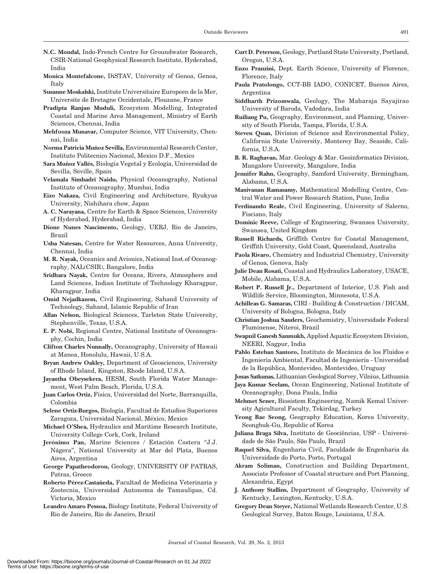- N.C. Mondal, Indo-French Centre for Groundwater Research, CSIR-National Geophysical Research Institute, Hyderabad, India
- Monica Montefalcone, DiSTAV, University of Genoa, Genoa, Italy
- Susanne Moskalski, Institute Universitaire Europeen de la Mer, Universite de Bretagne Occidentale, Plouzane, France
- Pradipta Ranjan Muduli, Ecosystem Modelling, Integrated Coastal and Marine Area Management, Ministry of Earth Sciences, Chennai, India
- Mehfooza Munavar, Computer Science, VIT University, Chennai, India
- Norma Patricia Muñoz Sevilla, Environmental Research Center, Instituto Politecnico Nacional, Mexico D.F., Mexico
- Sara Muñoz Vallés, Biología Vegetal y Ecología, Universidad de Sevilla, Seville, Spain
- Velamala Simhadri Naidu, Physical Oceanography, National Institute of Oceanography, Mumbai, India
- Eizo Nakaza, Civil Engineering and Architecture, Ryukyus University, Nishihara chow, Japan
- A. C. Narayana, Centre for Earth & Space Sciences, University of Hyderabad, Hyderabad, India
- Dione Nunes Nascimento, Geology, UERJ, Rio de Janeiro, Brazil
- Usha Natesan, Centre for Water Resources, Anna University, Chennai, India
- M. R. Nayak, Oceanics and Avionics, National Inst.of Oceanography, NAL(CSIR), Bangalore, India
- Sridhara Nayak, Centre for Oceans, Rivers, Atmosphere and Land Sciences, Indian Institute of Technology Kharagpur, Kharagpur, India
- Omid Nejadkazem, Civil Engineering, Sahand University of Technology, Sahand, Islamic Republic of Iran
- Allan Nelson, Biological Sciences, Tarleton State University, Stephenville, Texas, U.S.A.
- E. P. Nobi, Regional Centre, National Institute of Oceanography, Cochin, India
- Clifton Charles Nunnally, Oceanography, University of Hawaii at Manoa, Honolulu, Hawaii, U.S.A.
- Bryan Andrew Oakley, Department of Geosciences, University of Rhode Island, Kingston, Rhode Island, U.S.A.
- Jayantha Obeysekera, HESM, South Florida Water Management, West Palm Beach, Florida, U.S.A.
- Juan Carlos Ortiz, Fisica, Universidad del Norte, Barranquilla, Colombia
- Selene Ortiz-Burgos, Biología, Facultad de Estudios Superiores Zaragoza, Universidad Nacional, México, Mexico
- Michael O'Shea, Hydraulics and Maritime Research Institute, University College Cork, Cork, Ireland
- Jerónimo Pan, Marine Sciences / Estación Costera "J.J. Nágera", National University at Mar del Plata, Buenos Aires, Argentina
- George Papatheodorou, Geology, UNIVERSITY OF PATRAS, Patras, Greece
- Roberto Pérez-Castañeda, Facultad de Medicina Veterinaria y Zootecnia, Universidad Autonoma de Tamaulipas, Cd. Victoria, Mexico
- Leandro Amaro Pessoa, Biology Institute, Federal University of Rio de Janeiro, Rio de Janeiro, Brazil
- Curt D. Peterson, Geology, Portland State University, Portland, Oregon, U.S.A.
- Enzo Pranzini, Dept. Earth Science, University of Florence, Florence, Italy
- Paula Pratolongo, CCT-BB IADO, CONICET, Buenos Aires, Argentina
- Siddharth Prizomwala, Geology, The Maharaja Sayajirao University of Baroda, Vadodara, India
- Ruiliang Pu, Geography, Environment, and Planning, University of South Florida, Tampa, Florida, U.S.A.
- Steven Quan, Division of Science and Environmental Policy, California State University, Monterey Bay, Seaside, California, U.S.A.
- B. R. Raghavan, Mar. Geology & Mar. Geoinformatics Division, Mangalore University, Mangalore, India
- Jennifer Rahn, Geography, Samford University, Birmingham, Alabama, U.S.A.
- Manivanan Ramasamy, Mathematical Modelling Centre, Central Water and Power Research Station, Pune, India
- Ferdinando Reale, Civil Engineering, University of Salerno, Fisciano, Italy
- Dominic Reeve, College of Engineering, Swansea University, Swansea, United Kingdom
- Russell Richards, Griffith Centre for Coastal Management, Griffith University, Gold Coast, Queensland, Australia
- Paola Rivaro, Chemistry and Industrial Chemistry, University of Genoa, Genova, Italy
- Julie Dean Rosati, Coastal and Hydraulics Laboratory, USACE, Mobile, Alabama, U.S.A.
- Robert P. Russell Jr., Department of Interior, U.S. Fish and Wildlife Service, Bloomington, Minnesota, U.S.A.
- Achilleas G. Samaras, CIRI Building & Construction / DICAM, University of Bologna, Bologna, Italy
- Christian Joshua Sanders, Geochemistry, Universidade Federal Fluminense, Niteroi, Brazil
- Swapnil Ganesh Sanmukh, Applied Aquatic Ecosystem Division, NEERI, Nagpur, India
- Pablo Esteban Santoro, Instituto de Mecánica de los Fluidos e Ingenieria Ambiental, Facultad de Ingeniería - Universidad de la República, Montevideo, Montevideo, Uruguay
- Jonas Satkunas, Lithuanian Geological Survey, Vilnius, Lithuania
- Jaya Kumar Seelam, Ocean Engineering, National Institute of Oceanography, Dona Paula, India
- Mehmet Sener, Biosistem Engineering, Namik Kemal University Agicultural Faculty, Tekirdag, Turkey
- Yeong Bae Seong, Geography Education, Korea University, Seongbuk-Gu, Republic of Korea
- Juliana Braga Silva, Instituto de Geociências, USP Universidade de São Paulo, São Paulo, Brazil
- Raquel Silva, Engenharia Civil, Faculdade de Engenharia da Universidade do Porto, Porto, Portugal
- Akram Soliman, Construction and Building Department, Associate Professor of Coastal structure and Port Planning, Alexandria, Egypt
- J. Anthony Stallins, Department of Geography, University of Kentucky, Lexington, Kentucky, U.S.A.
- Gregory Dean Steyer, National Wetlands Research Center, U.S. Geological Survey, Baton Rouge, Louisiana, U.S.A.